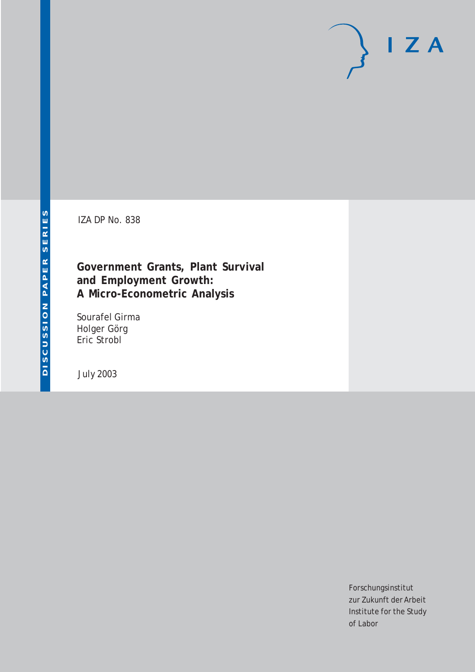# $I Z A$

IZA DP No. 838

## **Government Grants, Plant Survival and Employment Growth: A Micro-Econometric Analysis**

Sourafel Girma Holger Görg Eric Strobl

July 2003

Forschungsinstitut zur Zukunft der Arbeit Institute for the Study of Labor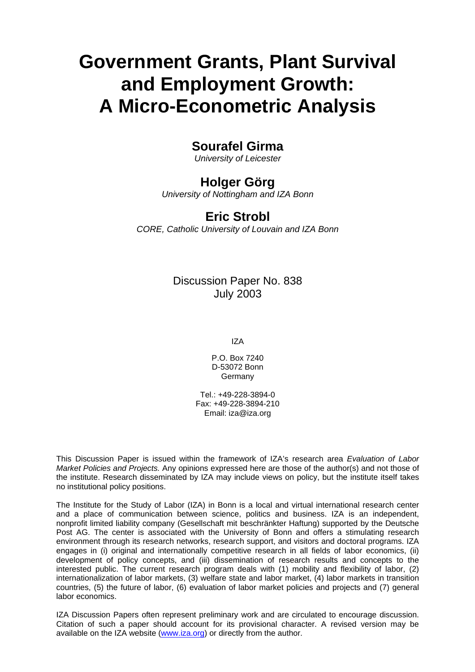# **Government Grants, Plant Survival and Employment Growth: A Micro-Econometric Analysis**

## **Sourafel Girma**

*University of Leicester* 

## **Holger Görg**

*University of Nottingham and IZA Bonn*

## **Eric Strobl**

*CORE, Catholic University of Louvain and IZA Bonn*

### Discussion Paper No. 838 July 2003

IZA

P.O. Box 7240 D-53072 Bonn Germany

Tel.: +49-228-3894-0 Fax: +49-228-3894-210 Email: [iza@iza.org](mailto:iza@iza.org)

This Discussion Paper is issued within the framework of IZA's research area *Evaluation of Labor Market Policies and Projects.* Any opinions expressed here are those of the author(s) and not those of the institute. Research disseminated by IZA may include views on policy, but the institute itself takes no institutional policy positions.

The Institute for the Study of Labor (IZA) in Bonn is a local and virtual international research center and a place of communication between science, politics and business. IZA is an independent, nonprofit limited liability company (Gesellschaft mit beschränkter Haftung) supported by the Deutsche Post AG. The center is associated with the University of Bonn and offers a stimulating research environment through its research networks, research support, and visitors and doctoral programs. IZA engages in (i) original and internationally competitive research in all fields of labor economics, (ii) development of policy concepts, and (iii) dissemination of research results and concepts to the interested public. The current research program deals with (1) mobility and flexibility of labor, (2) internationalization of labor markets, (3) welfare state and labor market, (4) labor markets in transition countries, (5) the future of labor, (6) evaluation of labor market policies and projects and (7) general labor economics.

IZA Discussion Papers often represent preliminary work and are circulated to encourage discussion. Citation of such a paper should account for its provisional character. A revised version may be available on the IZA website ([www.iza.org](http://www.iza.org/)) or directly from the author.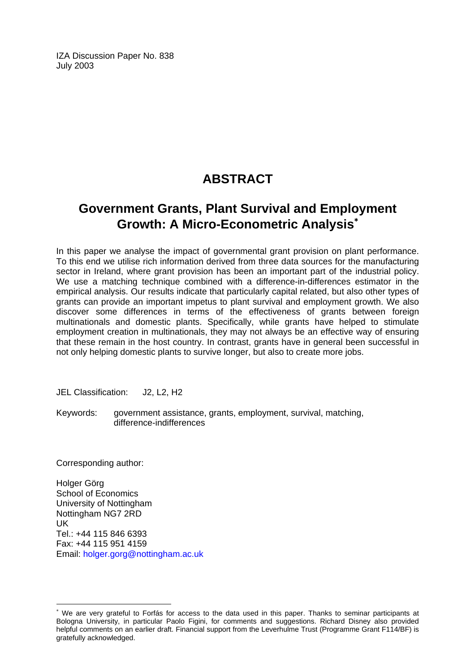IZA Discussion Paper No. 838 July 2003

## **ABSTRACT**

## **Government Grants, Plant Survival and Employment Growth: A Micro-Econometric Analysis**[∗](#page-2-0)

In this paper we analyse the impact of governmental grant provision on plant performance. To this end we utilise rich information derived from three data sources for the manufacturing sector in Ireland, where grant provision has been an important part of the industrial policy. We use a matching technique combined with a difference-in-differences estimator in the empirical analysis. Our results indicate that particularly capital related, but also other types of grants can provide an important impetus to plant survival and employment growth. We also discover some differences in terms of the effectiveness of grants between foreign multinationals and domestic plants. Specifically, while grants have helped to stimulate employment creation in multinationals, they may not always be an effective way of ensuring that these remain in the host country. In contrast, grants have in general been successful in not only helping domestic plants to survive longer, but also to create more jobs.

JEL Classification: J2, L2, H2

Keywords: government assistance, grants, employment, survival, matching, difference-indifferences

Corresponding author:

 $\overline{a}$ 

Holger Görg School of Economics University of Nottingham Nottingham NG7 2RD UK Tel.: +44 115 846 6393 Fax: +44 115 951 4159 Email: [holger.gorg@nottingham.ac.uk](mailto:holger.gorg@nottingham.ac.uk)

<span id="page-2-0"></span><sup>∗</sup> We are very grateful to Forfás for access to the data used in this paper. Thanks to seminar participants at Bologna University, in particular Paolo Figini, for comments and suggestions. Richard Disney also provided helpful comments on an earlier draft. Financial support from the Leverhulme Trust (Programme Grant F114/BF) is gratefully acknowledged.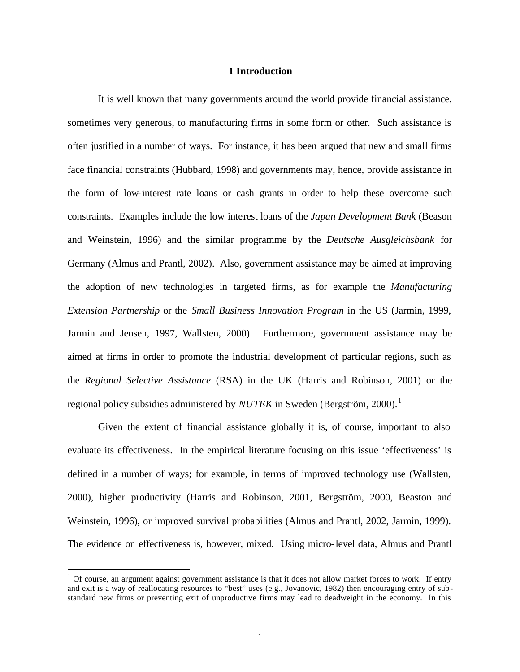#### **1 Introduction**

It is well known that many governments around the world provide financial assistance, sometimes very generous, to manufacturing firms in some form or other. Such assistance is often justified in a number of ways. For instance, it has been argued that new and small firms face financial constraints (Hubbard, 1998) and governments may, hence, provide assistance in the form of low-interest rate loans or cash grants in order to help these overcome such constraints. Examples include the low interest loans of the *Japan Development Bank* (Beason and Weinstein, 1996) and the similar programme by the *Deutsche Ausgleichsbank* for Germany (Almus and Prantl, 2002). Also, government assistance may be aimed at improving the adoption of new technologies in targeted firms, as for example the *Manufacturing Extension Partnership* or the *Small Business Innovation Program* in the US (Jarmin, 1999, Jarmin and Jensen, 1997, Wallsten, 2000). Furthermore, government assistance may be aimed at firms in order to promote the industrial development of particular regions, such as the *Regional Selective Assistance* (RSA) in the UK (Harris and Robinson, 2001) or the regional policy subsidies administered by  $NUTEK$  in Sweden (Bergström, 2000).<sup>1</sup>

Given the extent of financial assistance globally it is, of course, important to also evaluate its effectiveness. In the empirical literature focusing on this issue 'effectiveness' is defined in a number of ways; for example, in terms of improved technology use (Wallsten, 2000), higher productivity (Harris and Robinson, 2001, Bergström, 2000, Beaston and Weinstein, 1996), or improved survival probabilities (Almus and Prantl, 2002, Jarmin, 1999). The evidence on effectiveness is, however, mixed. Using micro-level data, Almus and Prantl

 $1$  Of course, an argument against government assistance is that it does not allow market forces to work. If entry and exit is a way of reallocating resources to "best" uses (e.g., Jovanovic, 1982) then encouraging entry of substandard new firms or preventing exit of unproductive firms may lead to deadweight in the economy. In this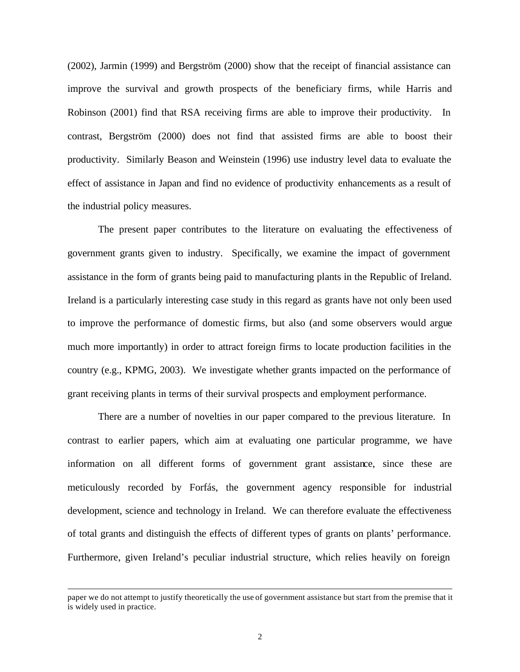(2002), Jarmin (1999) and Bergström (2000) show that the receipt of financial assistance can improve the survival and growth prospects of the beneficiary firms, while Harris and Robinson (2001) find that RSA receiving firms are able to improve their productivity. In contrast, Bergström (2000) does not find that assisted firms are able to boost their productivity. Similarly Beason and Weinstein (1996) use industry level data to evaluate the effect of assistance in Japan and find no evidence of productivity enhancements as a result of the industrial policy measures.

The present paper contributes to the literature on evaluating the effectiveness of government grants given to industry. Specifically, we examine the impact of government assistance in the form of grants being paid to manufacturing plants in the Republic of Ireland. Ireland is a particularly interesting case study in this regard as grants have not only been used to improve the performance of domestic firms, but also (and some observers would argue much more importantly) in order to attract foreign firms to locate production facilities in the country (e.g., KPMG, 2003). We investigate whether grants impacted on the performance of grant receiving plants in terms of their survival prospects and employment performance.

There are a number of novelties in our paper compared to the previous literature. In contrast to earlier papers, which aim at evaluating one particular programme, we have information on all different forms of government grant assistance, since these are meticulously recorded by Forfás, the government agency responsible for industrial development, science and technology in Ireland. We can therefore evaluate the effectiveness of total grants and distinguish the effects of different types of grants on plants' performance. Furthermore, given Ireland's peculiar industrial structure, which relies heavily on foreign

paper we do not attempt to justify theoretically the use of government assistance but start from the premise that it is widely used in practice.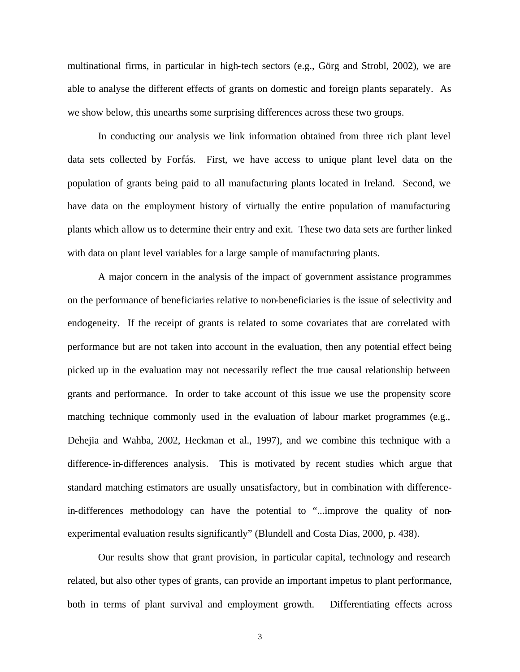multinational firms, in particular in high-tech sectors (e.g., Görg and Strobl, 2002), we are able to analyse the different effects of grants on domestic and foreign plants separately. As we show below, this unearths some surprising differences across these two groups.

In conducting our analysis we link information obtained from three rich plant level data sets collected by Forfás. First, we have access to unique plant level data on the population of grants being paid to all manufacturing plants located in Ireland. Second, we have data on the employment history of virtually the entire population of manufacturing plants which allow us to determine their entry and exit. These two data sets are further linked with data on plant level variables for a large sample of manufacturing plants.

A major concern in the analysis of the impact of government assistance programmes on the performance of beneficiaries relative to non-beneficiaries is the issue of selectivity and endogeneity. If the receipt of grants is related to some covariates that are correlated with performance but are not taken into account in the evaluation, then any potential effect being picked up in the evaluation may not necessarily reflect the true causal relationship between grants and performance. In order to take account of this issue we use the propensity score matching technique commonly used in the evaluation of labour market programmes (e.g., Dehejia and Wahba, 2002, Heckman et al., 1997), and we combine this technique with a difference-in-differences analysis. This is motivated by recent studies which argue that standard matching estimators are usually unsatisfactory, but in combination with differencein-differences methodology can have the potential to "...improve the quality of nonexperimental evaluation results significantly" (Blundell and Costa Dias, 2000, p. 438).

Our results show that grant provision, in particular capital, technology and research related, but also other types of grants, can provide an important impetus to plant performance, both in terms of plant survival and employment growth. Differentiating effects across

3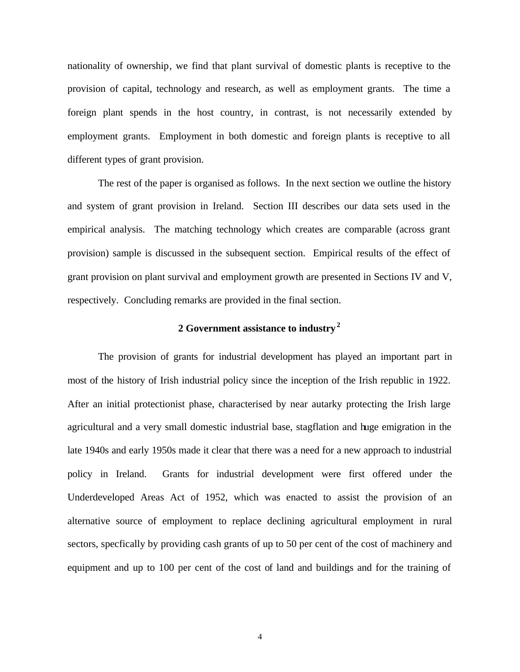nationality of ownership, we find that plant survival of domestic plants is receptive to the provision of capital, technology and research, as well as employment grants. The time a foreign plant spends in the host country, in contrast, is not necessarily extended by employment grants. Employment in both domestic and foreign plants is receptive to all different types of grant provision.

The rest of the paper is organised as follows. In the next section we outline the history and system of grant provision in Ireland. Section III describes our data sets used in the empirical analysis. The matching technology which creates are comparable (across grant provision) sample is discussed in the subsequent section. Empirical results of the effect of grant provision on plant survival and employment growth are presented in Sections IV and V, respectively. Concluding remarks are provided in the final section.

#### **2 Government assistance to industry<sup>2</sup>**

The provision of grants for industrial development has played an important part in most of the history of Irish industrial policy since the inception of the Irish republic in 1922. After an initial protectionist phase, characterised by near autarky protecting the Irish large agricultural and a very small domestic industrial base, stagflation and huge emigration in the late 1940s and early 1950s made it clear that there was a need for a new approach to industrial policy in Ireland. Grants for industrial development were first offered under the Underdeveloped Areas Act of 1952, which was enacted to assist the provision of an alternative source of employment to replace declining agricultural employment in rural sectors, specfically by providing cash grants of up to 50 per cent of the cost of machinery and equipment and up to 100 per cent of the cost of land and buildings and for the training of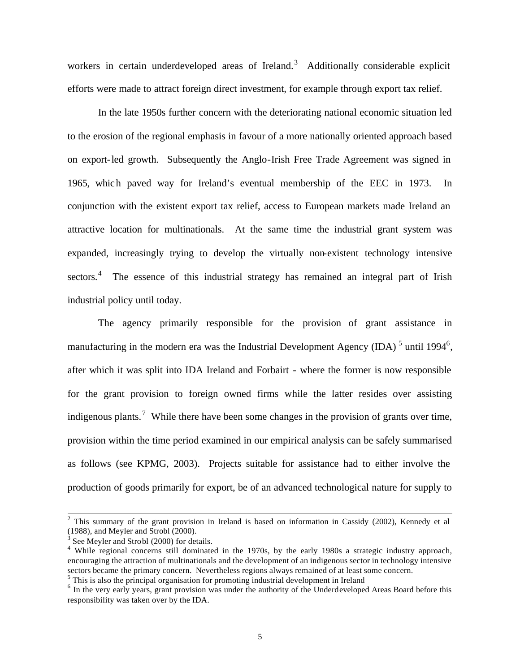workers in certain underdeveloped areas of Ireland.<sup>3</sup> Additionally considerable explicit efforts were made to attract foreign direct investment, for example through export tax relief.

In the late 1950s further concern with the deteriorating national economic situation led to the erosion of the regional emphasis in favour of a more nationally oriented approach based on export-led growth. Subsequently the Anglo-Irish Free Trade Agreement was signed in 1965, which paved way for Ireland's eventual membership of the EEC in 1973. In conjunction with the existent export tax relief, access to European markets made Ireland an attractive location for multinationals. At the same time the industrial grant system was expanded, increasingly trying to develop the virtually non-existent technology intensive sectors.<sup>4</sup> The essence of this industrial strategy has remained an integral part of Irish industrial policy until today.

The agency primarily responsible for the provision of grant assistance in manufacturing in the modern era was the Industrial Development Agency (IDA)<sup>5</sup> until 1994<sup>6</sup>, after which it was split into IDA Ireland and Forbairt - where the former is now responsible for the grant provision to foreign owned firms while the latter resides over assisting indigenous plants.<sup>7</sup> While there have been some changes in the provision of grants over time, provision within the time period examined in our empirical analysis can be safely summarised as follows (see KPMG, 2003). Projects suitable for assistance had to either involve the production of goods primarily for export, be of an advanced technological nature for supply to

<sup>&</sup>lt;sup>2</sup> This summary of the grant provision in Ireland is based on information in Cassidy (2002), Kennedy et al (1988), and Meyler and Strobl (2000).

<sup>&</sup>lt;sup>3</sup> See Meyler and Strobl (2000) for details.

<sup>&</sup>lt;sup>4</sup> While regional concerns still dominated in the 1970s, by the early 1980s a strategic industry approach, encouraging the attraction of multinationals and the development of an indigenous sector in technology intensive sectors became the primary concern. Nevertheless regions always remained of at least some concern. <sup>5</sup> This is also the principal organisation for promoting industrial development in Ireland

<sup>&</sup>lt;sup>6</sup> In the very early years, grant provision was under the authority of the Underdeveloped Areas Board before this responsibility was taken over by the IDA.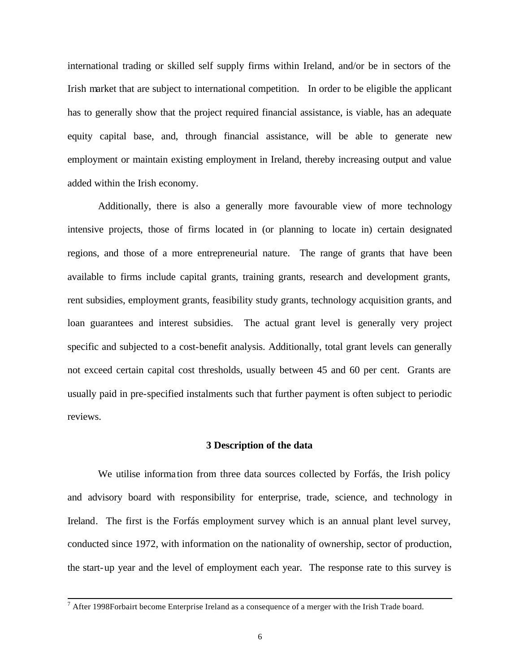international trading or skilled self supply firms within Ireland, and/or be in sectors of the Irish market that are subject to international competition. In order to be eligible the applicant has to generally show that the project required financial assistance, is viable, has an adequate equity capital base, and, through financial assistance, will be able to generate new employment or maintain existing employment in Ireland, thereby increasing output and value added within the Irish economy.

Additionally, there is also a generally more favourable view of more technology intensive projects, those of firms located in (or planning to locate in) certain designated regions, and those of a more entrepreneurial nature. The range of grants that have been available to firms include capital grants, training grants, research and development grants, rent subsidies, employment grants, feasibility study grants, technology acquisition grants, and loan guarantees and interest subsidies. The actual grant level is generally very project specific and subjected to a cost-benefit analysis. Additionally, total grant levels can generally not exceed certain capital cost thresholds, usually between 45 and 60 per cent. Grants are usually paid in pre-specified instalments such that further payment is often subject to periodic reviews.

#### **3 Description of the data**

We utilise informa tion from three data sources collected by Forfás, the Irish policy and advisory board with responsibility for enterprise, trade, science, and technology in Ireland. The first is the Forfás employment survey which is an annual plant level survey, conducted since 1972, with information on the nationality of ownership, sector of production, the start-up year and the level of employment each year. The response rate to this survey is

<sup>&</sup>lt;sup>7</sup> After 1998Forbairt become Enterprise Ireland as a consequence of a merger with the Irish Trade board.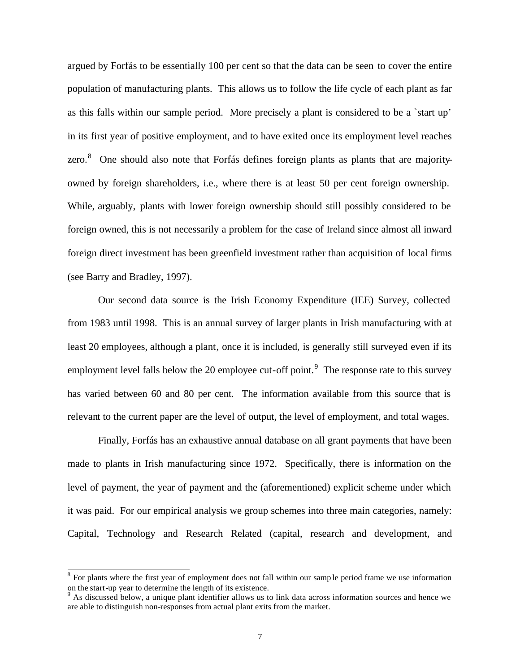argued by Forfás to be essentially 100 per cent so that the data can be seen to cover the entire population of manufacturing plants. This allows us to follow the life cycle of each plant as far as this falls within our sample period. More precisely a plant is considered to be a `start up' in its first year of positive employment, and to have exited once its employment level reaches zero.<sup>8</sup> One should also note that Forfás defines foreign plants as plants that are majorityowned by foreign shareholders, i.e., where there is at least 50 per cent foreign ownership. While, arguably, plants with lower foreign ownership should still possibly considered to be foreign owned, this is not necessarily a problem for the case of Ireland since almost all inward foreign direct investment has been greenfield investment rather than acquisition of local firms (see Barry and Bradley, 1997).

Our second data source is the Irish Economy Expenditure (IEE) Survey, collected from 1983 until 1998. This is an annual survey of larger plants in Irish manufacturing with at least 20 employees, although a plant, once it is included, is generally still surveyed even if its employment level falls below the 20 employee cut-off point.<sup>9</sup> The response rate to this survey has varied between 60 and 80 per cent. The information available from this source that is relevant to the current paper are the level of output, the level of employment, and total wages.

Finally, Forfás has an exhaustive annual database on all grant payments that have been made to plants in Irish manufacturing since 1972. Specifically, there is information on the level of payment, the year of payment and the (aforementioned) explicit scheme under which it was paid. For our empirical analysis we group schemes into three main categories, namely: Capital, Technology and Research Related (capital, research and development, and

<sup>&</sup>lt;sup>8</sup> For plants where the first year of employment does not fall within our samp le period frame we use information on the start-up year to determine the length of its existence.

<sup>&</sup>lt;sup>9</sup> As discussed below, a unique plant identifier allows us to link data across information sources and hence we are able to distinguish non-responses from actual plant exits from the market.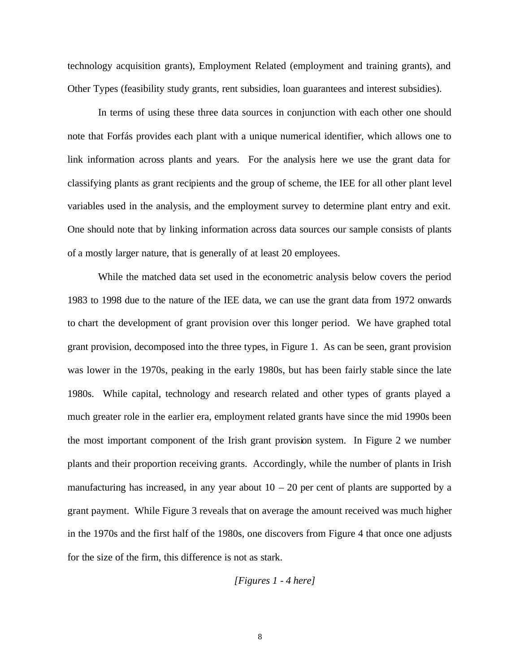technology acquisition grants), Employment Related (employment and training grants), and Other Types (feasibility study grants, rent subsidies, loan guarantees and interest subsidies).

In terms of using these three data sources in conjunction with each other one should note that Forfás provides each plant with a unique numerical identifier, which allows one to link information across plants and years. For the analysis here we use the grant data for classifying plants as grant recipients and the group of scheme, the IEE for all other plant level variables used in the analysis, and the employment survey to determine plant entry and exit. One should note that by linking information across data sources our sample consists of plants of a mostly larger nature, that is generally of at least 20 employees.

While the matched data set used in the econometric analysis below covers the period 1983 to 1998 due to the nature of the IEE data, we can use the grant data from 1972 onwards to chart the development of grant provision over this longer period. We have graphed total grant provision, decomposed into the three types, in Figure 1. As can be seen, grant provision was lower in the 1970s, peaking in the early 1980s, but has been fairly stable since the late 1980s. While capital, technology and research related and other types of grants played a much greater role in the earlier era, employment related grants have since the mid 1990s been the most important component of the Irish grant provision system. In Figure 2 we number plants and their proportion receiving grants. Accordingly, while the number of plants in Irish manufacturing has increased, in any year about  $10 - 20$  per cent of plants are supported by a grant payment. While Figure 3 reveals that on average the amount received was much higher in the 1970s and the first half of the 1980s, one discovers from Figure 4 that once one adjusts for the size of the firm, this difference is not as stark.

*[Figures 1 - 4 here]*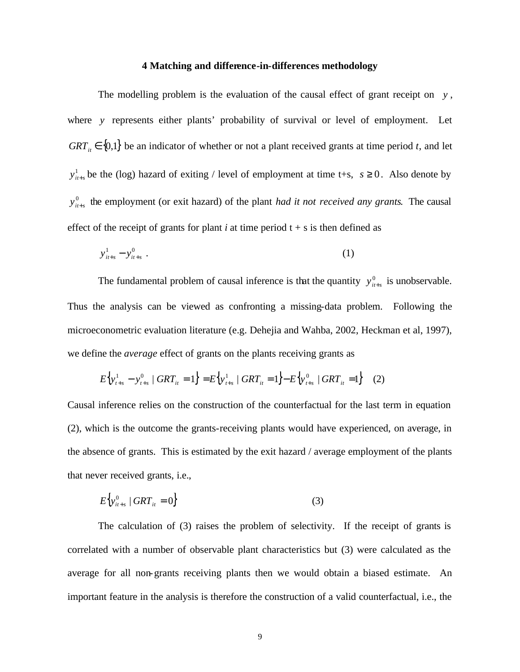#### **4 Matching and difference-in-differences methodology**

The modelling problem is the evaluation of the causal effect of grant receipt on *y* , where *y* represents either plants' probability of survival or level of employment. Let  $GRT<sub>it</sub> \in \{0,1\}$  be an indicator of whether or not a plant received grants at time period *t*, and let 1  $y_{i+s}^1$  be the (log) hazard of exiting / level of employment at time t+s,  $s \ge 0$ . Also denote by 0  $y_{i+s}^0$  the employment (or exit hazard) of the plant *had it not received any grants*. The causal effect of the receipt of grants for plant  $i$  at time period  $t + s$  is then defined as

$$
y_{it+s}^1 - y_{it+s}^0 \tag{1}
$$

The fundamental problem of causal inference is that the quantity  $y_{i+s}^0$  is unobservable. Thus the analysis can be viewed as confronting a missing-data problem. Following the microeconometric evaluation literature (e.g. Dehejia and Wahba, 2002, Heckman et al, 1997), we define the *average* effect of grants on the plants receiving grants as

$$
E\left\{y_{t+s}^1 - y_{t+s}^0 \mid GRT_{it} = 1\right\} = E\left\{y_{t+s}^1 \mid GRT_{it} = 1\right\} - E\left\{y_{t+s}^0 \mid GRT_{it} = 1\right\} \tag{2}
$$

Causal inference relies on the construction of the counterfactual for the last term in equation (2), which is the outcome the grants-receiving plants would have experienced, on average, in the absence of grants. This is estimated by the exit hazard / average employment of the plants that never received grants, i.e.,

$$
E\left\{y_{it+s}^0 \mid GRT_{it} = 0\right\} \tag{3}
$$

The calculation of (3) raises the problem of selectivity. If the receipt of grants is correlated with a number of observable plant characteristics but (3) were calculated as the average for all non-grants receiving plants then we would obtain a biased estimate. An important feature in the analysis is therefore the construction of a valid counterfactual, i.e., the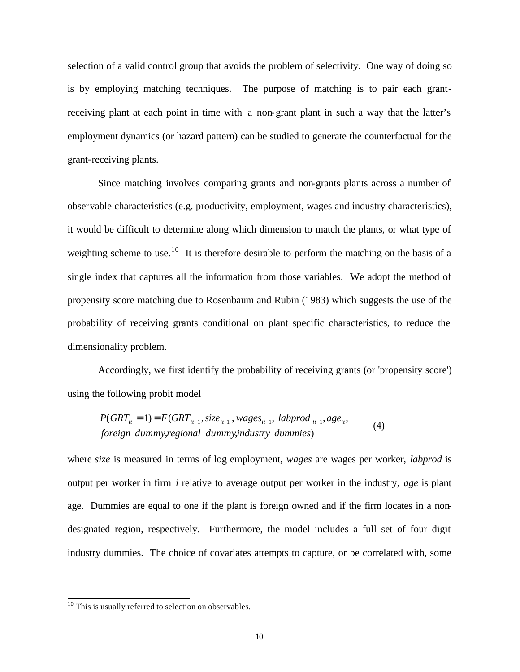selection of a valid control group that avoids the problem of selectivity. One way of doing so is by employing matching techniques. The purpose of matching is to pair each grantreceiving plant at each point in time with a non-grant plant in such a way that the latter's employment dynamics (or hazard pattern) can be studied to generate the counterfactual for the grant-receiving plants.

Since matching involves comparing grants and non-grants plants across a number of observable characteristics (e.g. productivity, employment, wages and industry characteristics), it would be difficult to determine along which dimension to match the plants, or what type of weighting scheme to use.<sup>10</sup> It is therefore desirable to perform the matching on the basis of a single index that captures all the information from those variables. We adopt the method of propensity score matching due to Rosenbaum and Rubin (1983) which suggests the use of the probability of receiving grants conditional on plant specific characteristics, to reduce the dimensionality problem.

Accordingly, we first identify the probability of receiving grants (or 'propensity score') using the following probit model

$$
P(GRT_{it} = 1) = F(GRT_{it-1}, size_{it-1}, wages_{it-1}, laptop_{it-1}, age_{it}, (4)
$$
  
foreign dummy, regional dummy, industry dummies)

where *size* is measured in terms of log employment, *wages* are wages per worker, *labprod* is output per worker in firm *i* relative to average output per worker in the industry, *age* is plant age. Dummies are equal to one if the plant is foreign owned and if the firm locates in a nondesignated region, respectively. Furthermore, the model includes a full set of four digit industry dummies. The choice of covariates attempts to capture, or be correlated with, some

 $10$  This is usually referred to selection on observables.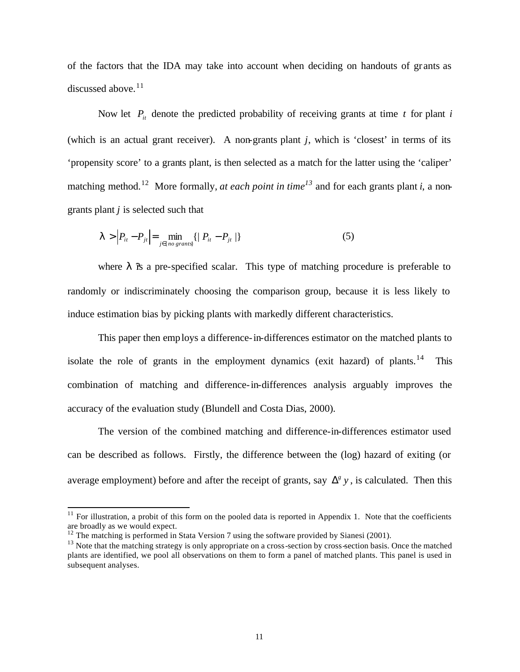of the factors that the IDA may take into account when deciding on handouts of gr ants as discussed above. $11$ 

Now let  $P_i$  denote the predicted probability of receiving grants at time  $t$  for plant  $i$ (which is an actual grant receiver). A non-grants plant *j*, which is 'closest' in terms of its 'propensity score' to a grants plant, is then selected as a match for the latter using the 'caliper' matching method.<sup>12</sup> More formally, *at each point in time*<sup>13</sup> and for each grants plant *i*, a nongrants plant *j* is selected such that

$$
I > |P_{it} - P_{jt}| = \min_{j \in \{no\, grants\}} \{ | P_{it} - P_{jt} | \}
$$
 (5)

where  $\lambda$  is a pre-specified scalar. This type of matching procedure is preferable to randomly or indiscriminately choosing the comparison group, because it is less likely to induce estimation bias by picking plants with markedly different characteristics.

This paper then employs a difference-in-differences estimator on the matched plants to isolate the role of grants in the employment dynamics (exit hazard) of plants.<sup>14</sup> This combination of matching and difference-in-differences analysis arguably improves the accuracy of the evaluation study (Blundell and Costa Dias, 2000).

The version of the combined matching and difference-in-differences estimator used can be described as follows. Firstly, the difference between the (log) hazard of exiting (or average employment) before and after the receipt of grants, say  $\Delta^g y$ , is calculated. Then this

 $11$  For illustration, a probit of this form on the pooled data is reported in Appendix 1. Note that the coefficients are broadly as we would expect.

 $12$  The matching is performed in Stata Version 7 using the software provided by Sianesi (2001).

 $13$  Note that the matching strategy is only appropriate on a cross-section by cross-section basis. Once the matched plants are identified, we pool all observations on them to form a panel of matched plants. This panel is used in subsequent analyses.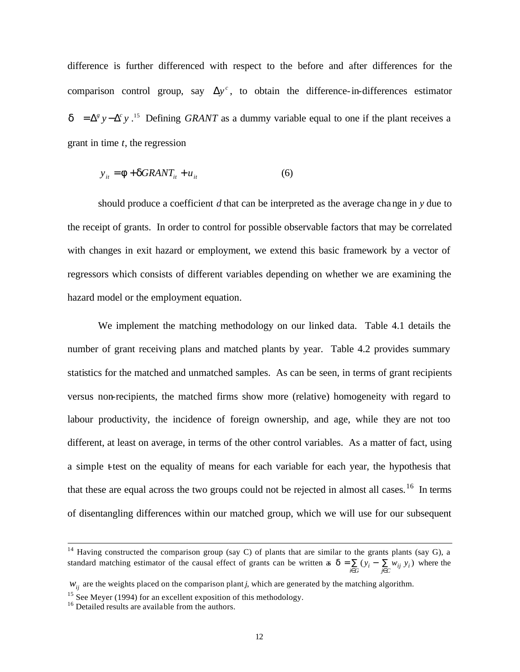difference is further differenced with respect to the before and after differences for the comparison control group, say  $\Delta y^c$ , to obtain the difference-in-differences estimator  $d = \Delta^g y - \Delta^c y$ <sup>15</sup> Defining *GRANT* as a dummy variable equal to one if the plant receives a grant in time *t*, the regression

$$
y_{it} = \mathbf{f} + \mathbf{d} GRANT_{it} + u_{it} \tag{6}
$$

should produce a coefficient *d* that can be interpreted as the average change in *y* due to the receipt of grants. In order to control for possible observable factors that may be correlated with changes in exit hazard or employment, we extend this basic framework by a vector of regressors which consists of different variables depending on whether we are examining the hazard model or the employment equation.

We implement the matching methodology on our linked data. Table 4.1 details the number of grant receiving plans and matched plants by year. Table 4.2 provides summary statistics for the matched and unmatched samples. As can be seen, in terms of grant recipients versus non-recipients, the matched firms show more (relative) homogeneity with regard to labour productivity, the incidence of foreign ownership, and age, while they are not too different, at least on average, in terms of the other control variables. As a matter of fact, using a simple t-test on the equality of means for each variable for each year, the hypothesis that that these are equal across the two groups could not be rejected in almost all cases.<sup>16</sup> In terms of disentangling differences within our matched group, which we will use for our subsequent

 $14$  Having constructed the comparison group (say C) of plants that are similar to the grants plants (say G), a standard matching estimator of the causal effect of grants can be written as  $\mathbf{d} = \sum_{i \in G} (y_i - \sum_{j \in C} w_{ij} y_i)$  where the

 $W_{ij}$  are the weights placed on the comparison plant *j*, which are generated by the matching algorithm.

<sup>&</sup>lt;sup>15</sup> See Meyer (1994) for an excellent exposition of this methodology.

<sup>&</sup>lt;sup>16</sup> Detailed results are available from the authors.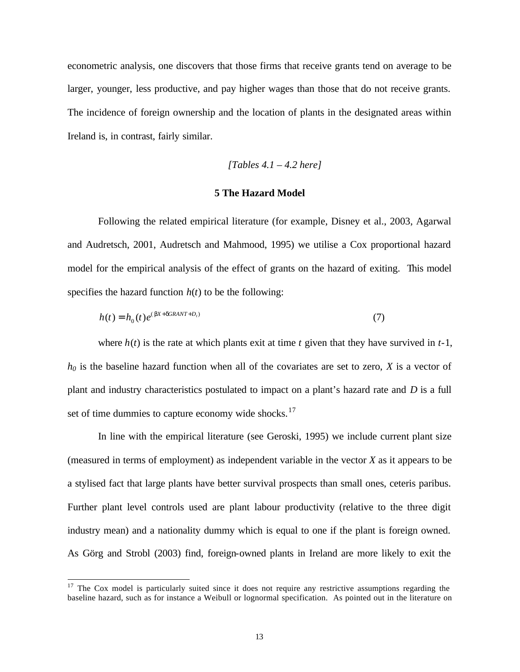econometric analysis, one discovers that those firms that receive grants tend on average to be larger, younger, less productive, and pay higher wages than those that do not receive grants. The incidence of foreign ownership and the location of plants in the designated areas within Ireland is, in contrast, fairly similar.

*[Tables 4.1 – 4.2 here]*

#### **5 The Hazard Model**

Following the related empirical literature (for example, Disney et al., 2003, Agarwal and Audretsch, 2001, Audretsch and Mahmood, 1995) we utilise a Cox proportional hazard model for the empirical analysis of the effect of grants on the hazard of exiting. This model specifies the hazard function  $h(t)$  to be the following:

$$
h(t) = h_0(t)e^{(bx + dGRANT + D_t)}
$$
\n<sup>(7)</sup>

where  $h(t)$  is the rate at which plants exit at time  $t$  given that they have survived in  $t-1$ , *h0* is the baseline hazard function when all of the covariates are set to zero, *X* is a vector of plant and industry characteristics postulated to impact on a plant's hazard rate and *D* is a full set of time dummies to capture economy wide shocks. $17$ 

In line with the empirical literature (see Geroski, 1995) we include current plant size (measured in terms of employment) as independent variable in the vector *X* as it appears to be a stylised fact that large plants have better survival prospects than small ones, ceteris paribus. Further plant level controls used are plant labour productivity (relative to the three digit industry mean) and a nationality dummy which is equal to one if the plant is foreign owned. As Görg and Strobl (2003) find, foreign-owned plants in Ireland are more likely to exit the

<sup>&</sup>lt;sup>17</sup> The Cox model is particularly suited since it does not require any restrictive assumptions regarding the baseline hazard, such as for instance a Weibull or lognormal specification. As pointed out in the literature on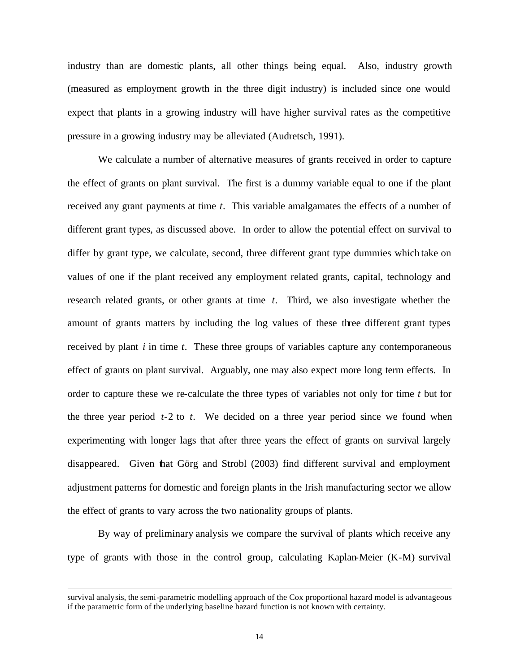industry than are domestic plants, all other things being equal. Also, industry growth (measured as employment growth in the three digit industry) is included since one would expect that plants in a growing industry will have higher survival rates as the competitive pressure in a growing industry may be alleviated (Audretsch, 1991).

We calculate a number of alternative measures of grants received in order to capture the effect of grants on plant survival. The first is a dummy variable equal to one if the plant received any grant payments at time *t*. This variable amalgamates the effects of a number of different grant types, as discussed above. In order to allow the potential effect on survival to differ by grant type, we calculate, second, three different grant type dummies which take on values of one if the plant received any employment related grants, capital, technology and research related grants, or other grants at time *t*. Third, we also investigate whether the amount of grants matters by including the log values of these three different grant types received by plant *i* in time *t*. These three groups of variables capture any contemporaneous effect of grants on plant survival. Arguably, one may also expect more long term effects. In order to capture these we re-calculate the three types of variables not only for time *t* but for the three year period *t*-2 to *t*. We decided on a three year period since we found when experimenting with longer lags that after three years the effect of grants on survival largely disappeared. Given that Görg and Strobl (2003) find different survival and employment adjustment patterns for domestic and foreign plants in the Irish manufacturing sector we allow the effect of grants to vary across the two nationality groups of plants.

By way of preliminary analysis we compare the survival of plants which receive any type of grants with those in the control group, calculating Kaplan-Meier (K-M) survival

survival analysis, the semi-parametric modelling approach of the Cox proportional hazard model is advantageous if the parametric form of the underlying baseline hazard function is not known with certainty.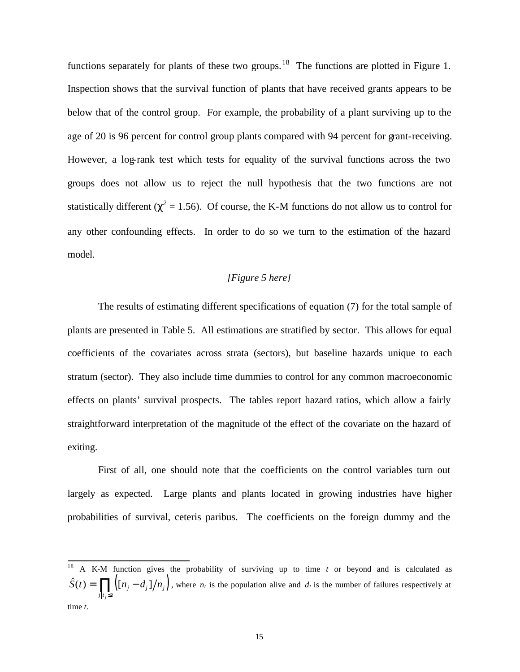functions separately for plants of these two groups.<sup>18</sup> The functions are plotted in Figure 1. Inspection shows that the survival function of plants that have received grants appears to be below that of the control group. For example, the probability of a plant surviving up to the age of 20 is 96 percent for control group plants compared with 94 percent for grant-receiving. However, a log-rank test which tests for equality of the survival functions across the two groups does not allow us to reject the null hypothesis that the two functions are not statistically different ( $c^2$  = 1.56). Of course, the K-M functions do not allow us to control for any other confounding effects. In order to do so we turn to the estimation of the hazard model.

#### *[Figure 5 here]*

The results of estimating different specifications of equation (7) for the total sample of plants are presented in Table 5. All estimations are stratified by sector. This allows for equal coefficients of the covariates across strata (sectors), but baseline hazards unique to each stratum (sector). They also include time dummies to control for any common macroeconomic effects on plants' survival prospects. The tables report hazard ratios, which allow a fairly straightforward interpretation of the magnitude of the effect of the covariate on the hazard of exiting.

First of all, one should note that the coefficients on the control variables turn out largely as expected. Large plants and plants located in growing industries have higher probabilities of survival, ceteris paribus. The coefficients on the foreign dummy and the

<sup>18</sup> A K-M function gives the probability of surviving up to time *t* or beyond and is calculated as  $\hat{S}(t) = \prod_{l} (n_j - d_j)/n_j$ , where  $n_t$  is the population alive and  $d_t$  is the number of failures respectively at  $j$ <sup> $t$ </sup>,  $\leq t$ *j* ≤ time *t*.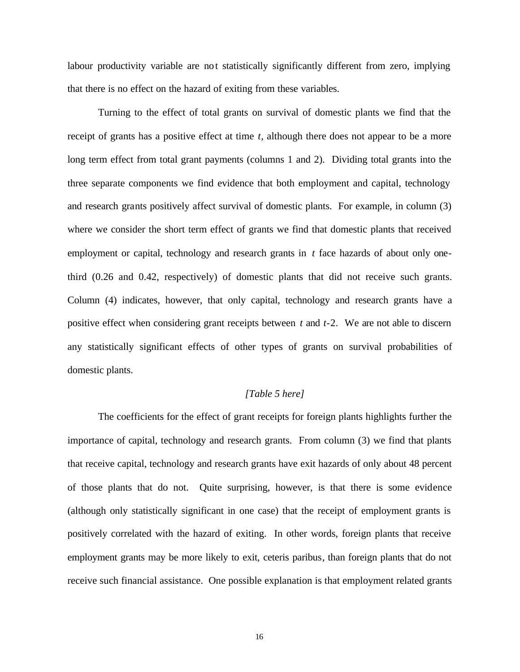labour productivity variable are not statistically significantly different from zero, implying that there is no effect on the hazard of exiting from these variables.

Turning to the effect of total grants on survival of domestic plants we find that the receipt of grants has a positive effect at time *t*, although there does not appear to be a more long term effect from total grant payments (columns 1 and 2). Dividing total grants into the three separate components we find evidence that both employment and capital, technology and research grants positively affect survival of domestic plants. For example, in column (3) where we consider the short term effect of grants we find that domestic plants that received employment or capital, technology and research grants in *t* face hazards of about only onethird (0.26 and 0.42, respectively) of domestic plants that did not receive such grants. Column (4) indicates, however, that only capital, technology and research grants have a positive effect when considering grant receipts between *t* and *t*-2. We are not able to discern any statistically significant effects of other types of grants on survival probabilities of domestic plants.

#### *[Table 5 here]*

The coefficients for the effect of grant receipts for foreign plants highlights further the importance of capital, technology and research grants. From column (3) we find that plants that receive capital, technology and research grants have exit hazards of only about 48 percent of those plants that do not. Quite surprising, however, is that there is some evidence (although only statistically significant in one case) that the receipt of employment grants is positively correlated with the hazard of exiting. In other words, foreign plants that receive employment grants may be more likely to exit, ceteris paribus, than foreign plants that do not receive such financial assistance. One possible explanation is that employment related grants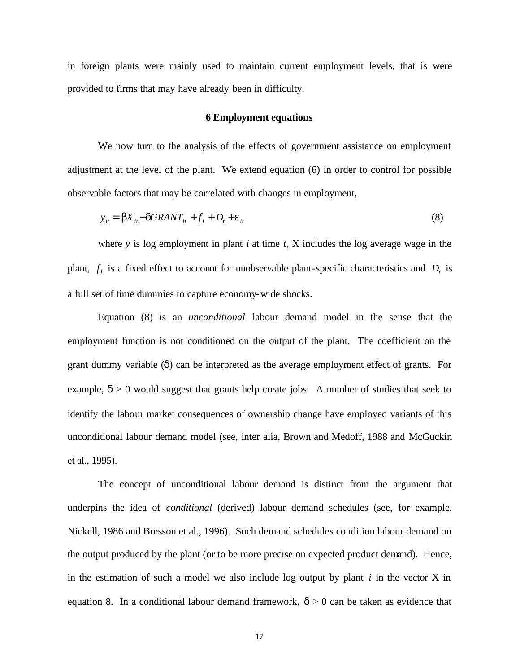in foreign plants were mainly used to maintain current employment levels, that is were provided to firms that may have already been in difficulty.

#### **6 Employment equations**

We now turn to the analysis of the effects of government assistance on employment adjustment at the level of the plant. We extend equation (6) in order to control for possible observable factors that may be correlated with changes in employment,

$$
y_{it} = \boldsymbol{b} X_{it} + \boldsymbol{d} G R A N T_{it} + f_i + D_t + \boldsymbol{e}_{it}
$$
\n
$$
\tag{8}
$$

where *y* is log employment in plant *i* at time *t*, X includes the log average wage in the plant,  $f_i$  is a fixed effect to account for unobservable plant-specific characteristics and  $D_t$  is a full set of time dummies to capture economy-wide shocks.

Equation (8) is an *unconditional* labour demand model in the sense that the employment function is not conditioned on the output of the plant. The coefficient on the grant dummy variable (*d*) can be interpreted as the average employment effect of grants. For example,  $d > 0$  would suggest that grants help create jobs. A number of studies that seek to identify the labour market consequences of ownership change have employed variants of this unconditional labour demand model (see, inter alia, Brown and Medoff, 1988 and McGuckin et al., 1995).

The concept of unconditional labour demand is distinct from the argument that underpins the idea of *conditional* (derived) labour demand schedules (see, for example, Nickell, 1986 and Bresson et al., 1996). Such demand schedules condition labour demand on the output produced by the plant (or to be more precise on expected product demand). Hence, in the estimation of such a model we also include log output by plant *i* in the vector X in equation 8. In a conditional labour demand framework,  $\mathbf{d} > 0$  can be taken as evidence that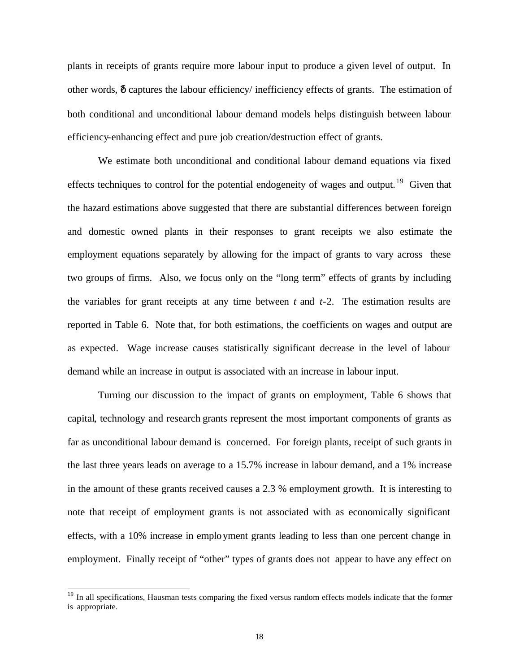plants in receipts of grants require more labour input to produce a given level of output. In other words, *d* captures the labour efficiency/ inefficiency effects of grants. The estimation of both conditional and unconditional labour demand models helps distinguish between labour efficiency-enhancing effect and pure job creation/destruction effect of grants.

We estimate both unconditional and conditional labour demand equations via fixed effects techniques to control for the potential endogeneity of wages and output.<sup>19</sup> Given that the hazard estimations above suggested that there are substantial differences between foreign and domestic owned plants in their responses to grant receipts we also estimate the employment equations separately by allowing for the impact of grants to vary across these two groups of firms. Also, we focus only on the "long term" effects of grants by including the variables for grant receipts at any time between *t* and *t*-2. The estimation results are reported in Table 6. Note that, for both estimations, the coefficients on wages and output are as expected. Wage increase causes statistically significant decrease in the level of labour demand while an increase in output is associated with an increase in labour input.

Turning our discussion to the impact of grants on employment, Table 6 shows that capital*,* technology and research grants represent the most important components of grants as far as unconditional labour demand is concerned. For foreign plants, receipt of such grants in the last three years leads on average to a 15.7% increase in labour demand, and a 1% increase in the amount of these grants received causes a 2.3 % employment growth. It is interesting to note that receipt of employment grants is not associated with as economically significant effects, with a 10% increase in employment grants leading to less than one percent change in employment. Finally receipt of "other" types of grants does not appear to have any effect on

<sup>&</sup>lt;sup>19</sup> In all specifications, Hausman tests comparing the fixed versus random effects models indicate that the former is appropriate.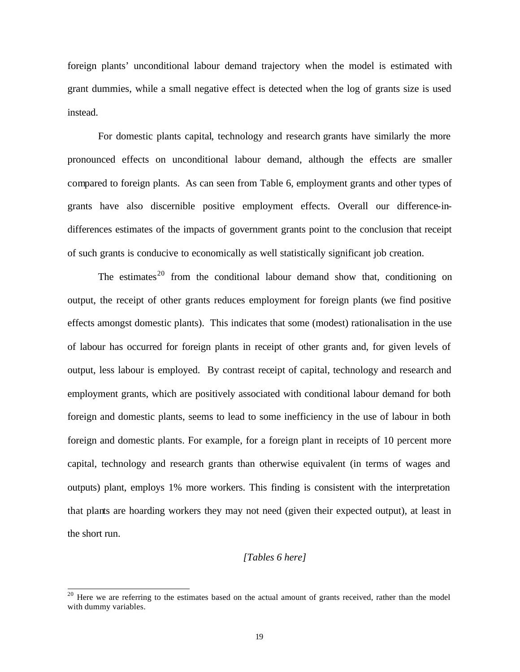foreign plants' unconditional labour demand trajectory when the model is estimated with grant dummies, while a small negative effect is detected when the log of grants size is used instead.

For domestic plants capital, technology and research grants have similarly the more pronounced effects on unconditional labour demand, although the effects are smaller compared to foreign plants. As can seen from Table 6, employment grants and other types of grants have also discernible positive employment effects. Overall our difference-indifferences estimates of the impacts of government grants point to the conclusion that receipt of such grants is conducive to economically as well statistically significant job creation.

The estimates<sup>20</sup> from the conditional labour demand show that, conditioning on output, the receipt of other grants reduces employment for foreign plants (we find positive effects amongst domestic plants). This indicates that some (modest) rationalisation in the use of labour has occurred for foreign plants in receipt of other grants and, for given levels of output, less labour is employed. By contrast receipt of capital, technology and research and employment grants, which are positively associated with conditional labour demand for both foreign and domestic plants, seems to lead to some inefficiency in the use of labour in both foreign and domestic plants. For example, for a foreign plant in receipts of 10 percent more capital, technology and research grants than otherwise equivalent (in terms of wages and outputs) plant, employs 1% more workers. This finding is consistent with the interpretation that plants are hoarding workers they may not need (given their expected output), at least in the short run.

#### *[Tables 6 here]*

<sup>&</sup>lt;sup>20</sup> Here we are referring to the estimates based on the actual amount of grants received, rather than the model with dummy variables.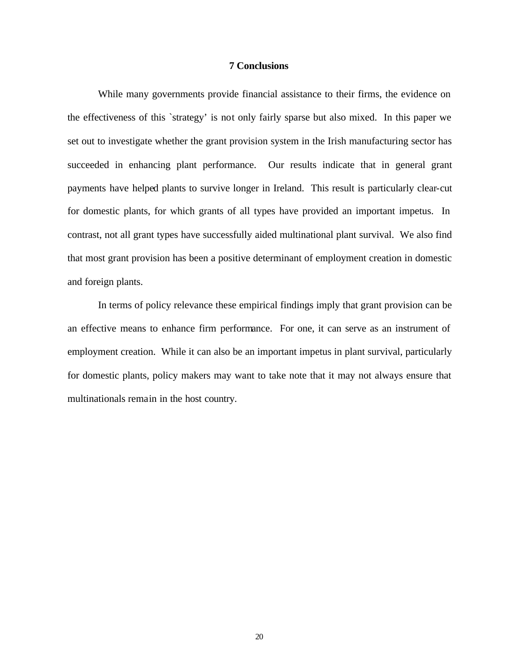#### **7 Conclusions**

While many governments provide financial assistance to their firms, the evidence on the effectiveness of this `strategy' is not only fairly sparse but also mixed. In this paper we set out to investigate whether the grant provision system in the Irish manufacturing sector has succeeded in enhancing plant performance. Our results indicate that in general grant payments have helped plants to survive longer in Ireland. This result is particularly clear-cut for domestic plants, for which grants of all types have provided an important impetus. In contrast, not all grant types have successfully aided multinational plant survival. We also find that most grant provision has been a positive determinant of employment creation in domestic and foreign plants.

In terms of policy relevance these empirical findings imply that grant provision can be an effective means to enhance firm performance. For one, it can serve as an instrument of employment creation. While it can also be an important impetus in plant survival, particularly for domestic plants, policy makers may want to take note that it may not always ensure that multinationals remain in the host country.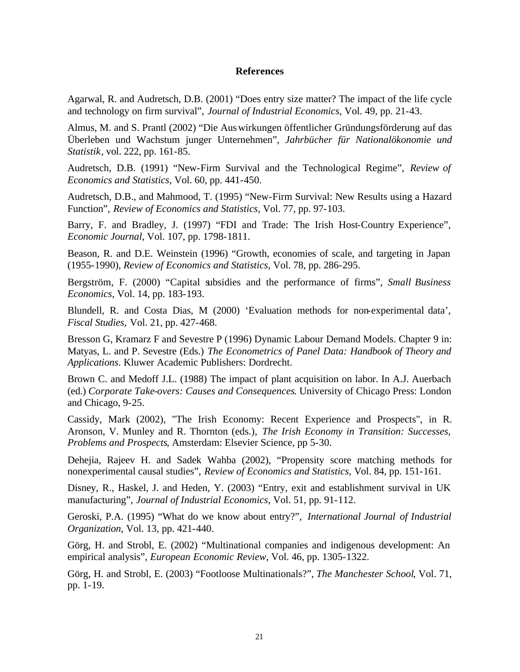#### **References**

Agarwal, R. and Audretsch, D.B. (2001) "Does entry size matter? The impact of the life cycle and technology on firm survival", *Journal of Industrial Economics*, Vol. 49, pp. 21-43.

Almus, M. and S. Prantl (2002) "Die Auswirkungen öffentlicher Gründungsförderung auf das Überleben und Wachstum junger Unternehmen", *Jahrbücher für Nationalökonomie und Statistik*, vol. 222, pp. 161-85.

Audretsch, D.B. (1991) "New-Firm Survival and the Technological Regime", *Review of Economics and Statistics*, Vol. 60, pp. 441-450.

Audretsch, D.B., and Mahmood, T. (1995) "New-Firm Survival: New Results using a Hazard Function", *Review of Economics and Statistics*, Vol. 77, pp. 97-103.

Barry, F. and Bradley, J. (1997) "FDI and Trade: The Irish Host-Country Experience", *Economic Journal*, Vol. 107, pp. 1798-1811.

Beason, R. and D.E. Weinstein (1996) "Growth, economies of scale, and targeting in Japan (1955-1990), *Review of Economics and Statistics*, Vol. 78, pp. 286-295.

Bergström, F. (2000) "Capital subsidies and the performance of firms", *Small Business Economics*, Vol. 14, pp. 183-193.

Blundell, R. and Costa Dias, M (2000) 'Evaluation methods for non-experimental data', *Fiscal Studies,* Vol. 21, pp. 427-468.

Bresson G, Kramarz F and Sevestre P (1996) Dynamic Labour Demand Models. Chapter 9 in: Matyas, L. and P. Sevestre (Eds.) *The Econometrics of Panel Data: Handbook of Theory and Applications*. Kluwer Academic Publishers: Dordrecht.

Brown C. and Medoff J.L. (1988) The impact of plant acquisition on labor. In A.J. Auerbach (ed.) *Corporate Take-overs: Causes and Consequences*. University of Chicago Press: London and Chicago, 9-25.

Cassidy, Mark (2002), "The Irish Economy: Recent Experience and Prospects", in R. Aronson, V. Munley and R. Thornton (eds.), *The Irish Economy in Transition: Successes, Problems and Prospects*, Amsterdam: Elsevier Science, pp 5-30.

Dehejia, Rajeev H. and Sadek Wahba (2002), "Propensity score matching methods for nonexperimental causal studies", *Review of Economics and Statistics*, Vol. 84, pp. 151-161.

Disney, R., Haskel, J. and Heden, Y. (2003) "Entry, exit and establishment survival in UK manufacturing", *Journal of Industrial Economics*, Vol. 51, pp. 91-112.

Geroski, P.A. (1995) "What do we know about entry?", *International Journal of Industrial Organization*, Vol. 13, pp. 421-440.

Görg, H. and Strobl, E. (2002) "Multinational companies and indigenous development: An empirical analysis", *European Economic Review*, Vol. 46, pp. 1305-1322.

Görg, H. and Strobl, E. (2003) "Footloose Multinationals?", *The Manchester School*, Vol. 71, pp. 1-19.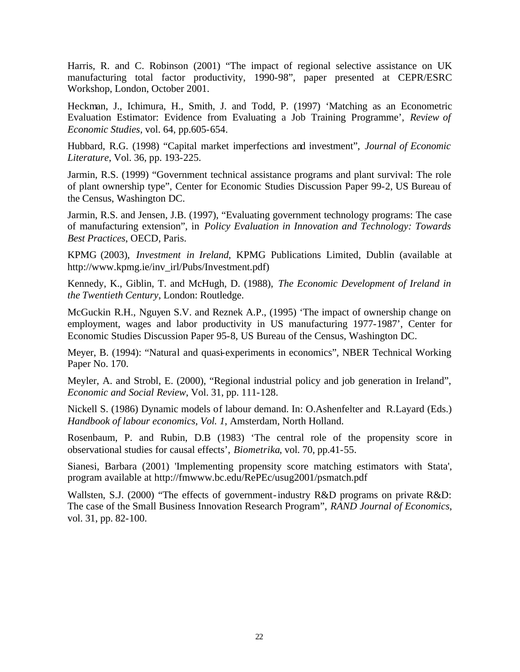Harris, R. and C. Robinson (2001) "The impact of regional selective assistance on UK manufacturing total factor productivity, 1990-98", paper presented at CEPR/ESRC Workshop, London, October 2001.

Heckman, J., Ichimura, H., Smith, J. and Todd, P. (1997) 'Matching as an Econometric Evaluation Estimator: Evidence from Evaluating a Job Training Programme', *Review of Economic Studies*, vol. 64, pp.605-654.

Hubbard, R.G. (1998) "Capital market imperfections and investment", *Journal of Economic Literature*, Vol. 36, pp. 193-225.

Jarmin, R.S. (1999) "Government technical assistance programs and plant survival: The role of plant ownership type", Center for Economic Studies Discussion Paper 99-2, US Bureau of the Census, Washington DC.

Jarmin, R.S. and Jensen, J.B. (1997), "Evaluating government technology programs: The case of manufacturing extension", in *Policy Evaluation in Innovation and Technology: Towards Best Practices*, OECD, Paris.

KPMG (2003), *Investment in Ireland*, KPMG Publications Limited, Dublin (available at http://www.kpmg.ie/inv\_irl/Pubs/Investment.pdf)

Kennedy, K., Giblin, T. and McHugh, D. (1988), *The Economic Development of Ireland in the Twentieth Century*, London: Routledge.

McGuckin R.H., Nguyen S.V. and Reznek A.P., (1995) 'The impact of ownership change on employment, wages and labor productivity in US manufacturing 1977-1987', Center for Economic Studies Discussion Paper 95-8, US Bureau of the Census, Washington DC.

Meyer, B. (1994): "Natural and quasi-experiments in economics", NBER Technical Working Paper No. 170.

Meyler, A. and Strobl, E. (2000), "Regional industrial policy and job generation in Ireland", *Economic and Social Review*, Vol. 31, pp. 111-128.

Nickell S. (1986) Dynamic models of labour demand. In: O.Ashenfelter and R.Layard (Eds.) *Handbook of labour economics, Vol. 1*, Amsterdam, North Holland.

Rosenbaum, P. and Rubin, D.B (1983) 'The central role of the propensity score in observational studies for causal effects', *Biometrika*, vol. 70, pp.41-55.

Sianesi, Barbara (2001) 'Implementing propensity score matching estimators with Stata', program available at http://fmwww.bc.edu/RePEc/usug2001/psmatch.pdf

Wallsten, S.J. (2000) "The effects of government-industry R&D programs on private R&D: The case of the Small Business Innovation Research Program", *RAND Journal of Economics*, vol. 31, pp. 82-100.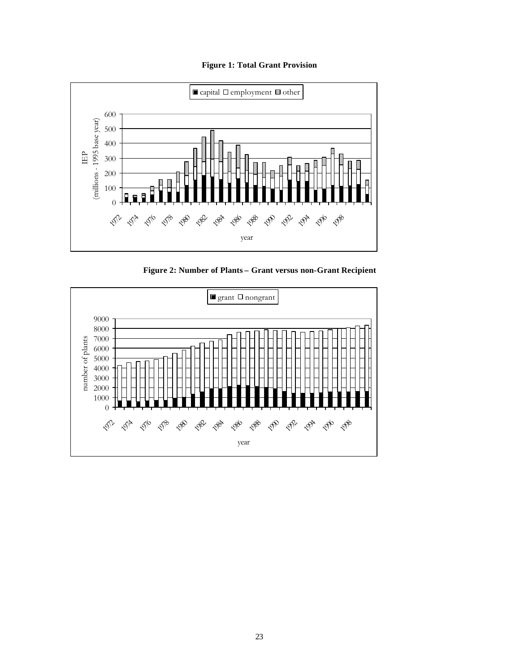#### **Figure 1: Total Grant Provision**



**Figure 2: Number of Plants – Grant versus non-Grant Recipient**

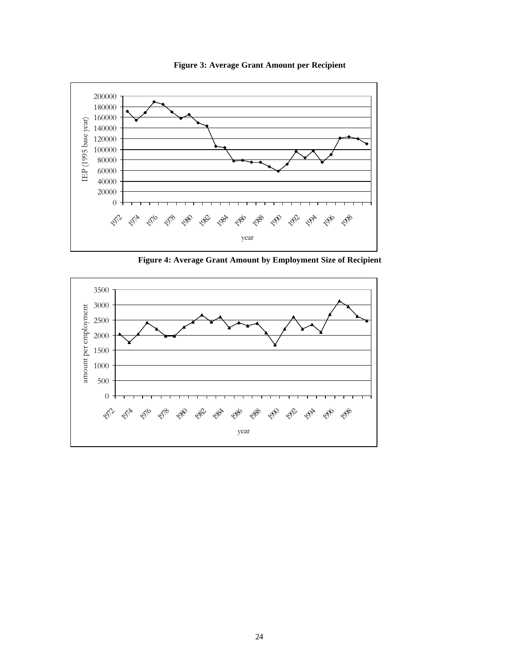

**Figure 3: Average Grant Amount per Recipient**

**Figure 4: Average Grant Amount by Employment Size of Recipient**

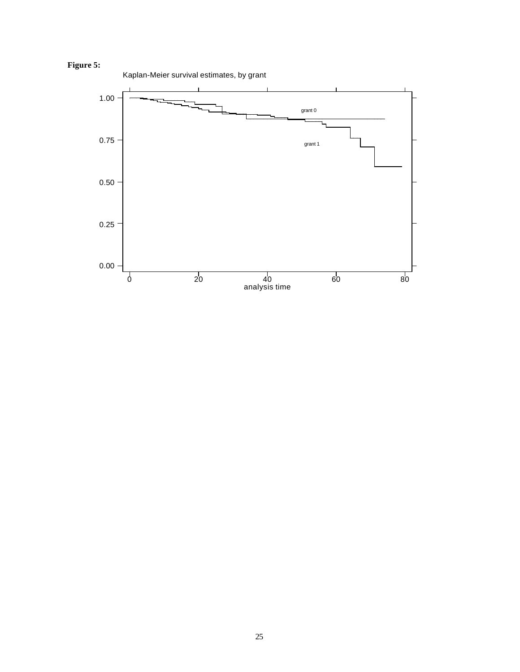

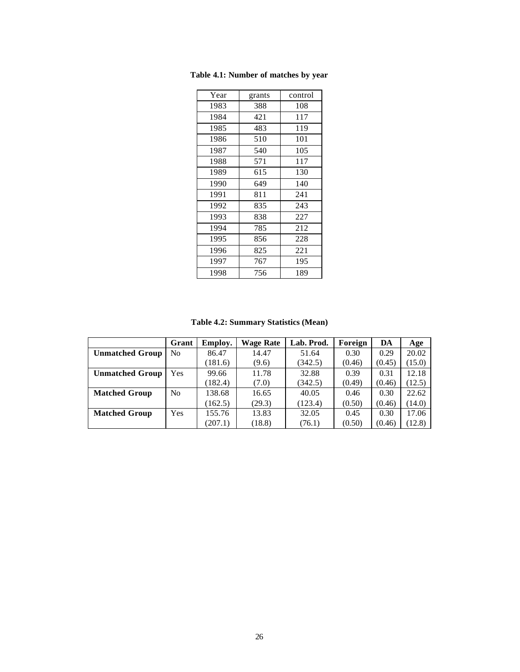| Year | grants | control |
|------|--------|---------|
| 1983 | 388    | 108     |
| 1984 | 421    | 117     |
| 1985 | 483    | 119     |
| 1986 | 510    | 101     |
| 1987 | 540    | 105     |
| 1988 | 571    | 117     |
| 1989 | 615    | 130     |
| 1990 | 649    | 140     |
| 1991 | 811    | 241     |
| 1992 | 835    | 243     |
| 1993 | 838    | 227     |
| 1994 | 785    | 212     |
| 1995 | 856    | 228     |
| 1996 | 825    | 221     |
| 1997 | 767    | 195     |
| 1998 | 756    | 189     |

**Table 4.1: Number of matches by year**

**Table 4.2: Summary Statistics (Mean)**

|                        | Grant          | <b>Employ.</b> | <b>Wage Rate</b> | Lab. Prod. | Foreign | DA     | Age    |
|------------------------|----------------|----------------|------------------|------------|---------|--------|--------|
| <b>Unmatched Group</b> | No             | 86.47          | 14.47            | 51.64      | 0.30    | 0.29   | 20.02  |
|                        |                | (181.6)        | (9.6)            | (342.5)    | (0.46)  | (0.45) | (15.0) |
| <b>Unmatched Group</b> | Yes.           | 99.66          | 11.78            | 32.88      | 0.39    | 0.31   | 12.18  |
|                        |                | (182.4)        | (7.0)            | (342.5)    | (0.49)  | (0.46) | (12.5) |
| <b>Matched Group</b>   | N <sub>0</sub> | 138.68         | 16.65            | 40.05      | 0.46    | 0.30   | 22.62  |
|                        |                | (162.5)        | (29.3)           | (123.4)    | (0.50)  | (0.46) | (14.0) |
| <b>Matched Group</b>   | <b>Yes</b>     | 155.76         | 13.83            | 32.05      | 0.45    | 0.30   | 17.06  |
|                        |                | (207.1)        | (18.8)           | (76.1)     | (0.50)  | (0.46) | (12.8) |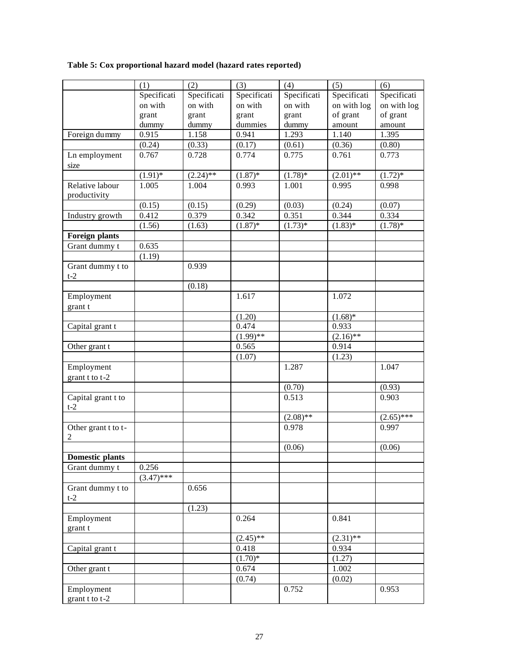**Table 5: Cox proportional hazard model (hazard rates reported)**

|                        | (1)          | (2)         | (3)         | (4)         | (5)         | (6)          |
|------------------------|--------------|-------------|-------------|-------------|-------------|--------------|
|                        | Specificati  | Specificati | Specificati | Specificati | Specificati | Specificati  |
|                        | on with      | on with     | on with     | on with     | on with log | on with log  |
|                        | grant        | grant       | grant       | grant       | of grant    | of grant     |
|                        | dummy        | dummy       | dummies     | dummy       | amount      | amount       |
| Foreign dummy          | 0.915        | 1.158       | 0.941       | 1.293       | 1.140       | 1.395        |
|                        | (0.24)       | (0.33)      | (0.17)      | (0.61)      | (0.36)      | (0.80)       |
| Ln employment          | 0.767        | 0.728       | 0.774       | 0.775       | 0.761       | 0.773        |
| size                   |              |             |             |             |             |              |
|                        | $(1.91)$ *   | $(2.24)$ ** | $(1.87)$ *  | $(1.78)$ *  | $(2.01)$ ** | $(1.72)*$    |
| Relative labour        | 1.005        | 1.004       | 0.993       | 1.001       | 0.995       | 0.998        |
| productivity           |              |             |             |             |             |              |
|                        | (0.15)       | (0.15)      | (0.29)      | (0.03)      | (0.24)      | (0.07)       |
| Industry growth        | 0.412        | 0.379       | 0.342       | 0.351       | 0.344       | 0.334        |
|                        | (1.56)       | (1.63)      | $(1.87)$ *  | $(1.73)*$   | $(1.83)*$   | $(1.78)$ *   |
|                        |              |             |             |             |             |              |
| <b>Foreign plants</b>  |              |             |             |             |             |              |
| Grant dummy t          | 0.635        |             |             |             |             |              |
|                        | (1.19)       |             |             |             |             |              |
| Grant dummy t to       |              | 0.939       |             |             |             |              |
| $t-2$                  |              |             |             |             |             |              |
|                        |              | (0.18)      |             |             |             |              |
| Employment             |              |             | 1.617       |             | 1.072       |              |
| grant t                |              |             |             |             |             |              |
|                        |              |             | (1.20)      |             | $(1.68)$ *  |              |
| Capital grant t        |              |             | 0.474       |             | 0.933       |              |
|                        |              |             | $(1.99)$ ** |             | $(2.16)$ ** |              |
| Other grant t          |              |             | 0.565       |             | 0.914       |              |
|                        |              |             | (1.07)      |             | (1.23)      |              |
| Employment             |              |             |             | 1.287       |             | 1.047        |
| grant t to t-2         |              |             |             |             |             |              |
|                        |              |             |             | (0.70)      |             | (0.93)       |
| Capital grant t to     |              |             |             | 0.513       |             | 0.903        |
| $t-2$                  |              |             |             |             |             |              |
|                        |              |             |             |             |             |              |
|                        |              |             |             | $(2.08)$ ** |             | $(2.65)$ *** |
| Other grant t to t-    |              |             |             | 0.978       |             | 0.997        |
| $\overline{2}$         |              |             |             |             |             |              |
|                        |              |             |             | (0.06)      |             | (0.06)       |
| <b>Domestic plants</b> |              |             |             |             |             |              |
| Grant dummy t          | 0.256        |             |             |             |             |              |
|                        | $(3.47)$ *** |             |             |             |             |              |
| Grant dummy t to       |              | 0.656       |             |             |             |              |
| $t-2$                  |              |             |             |             |             |              |
|                        |              | (1.23)      |             |             |             |              |
| Employment             |              |             | 0.264       |             | 0.841       |              |
| grant t                |              |             |             |             |             |              |
|                        |              |             | $(2.45)$ ** |             | $(2.31)$ ** |              |
| Capital grant t        |              |             | 0.418       |             | 0.934       |              |
|                        |              |             | $(1.70)*$   |             | (1.27)      |              |
| Other grant t          |              |             | 0.674       |             | 1.002       |              |
|                        |              |             | (0.74)      |             | (0.02)      |              |
|                        |              |             |             | 0.752       |             |              |
| Employment             |              |             |             |             |             | 0.953        |
| grant $t$ to $t-2$     |              |             |             |             |             |              |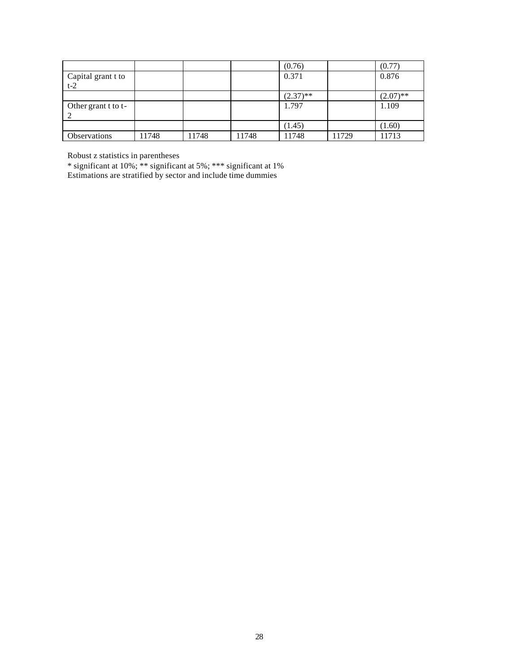|                             |       |       |       | (0.76)      |       | (0.77)      |
|-----------------------------|-------|-------|-------|-------------|-------|-------------|
| Capital grant t to<br>$t-2$ |       |       |       | 0.371       |       | 0.876       |
|                             |       |       |       | $(2.37)$ ** |       | $(2.07)$ ** |
| Other grant t to t-         |       |       |       | 1.797       |       | 1.109       |
|                             |       |       |       | (1.45)      |       | (1.60)      |
| <b>Observations</b>         | 11748 | 11748 | 11748 | 11748       | 11729 | 11713       |

Robust z statistics in parentheses

\* significant at 10%; \*\* significant at 5%; \*\*\* significant at 1% Estimations are stratified by sector and include time dummies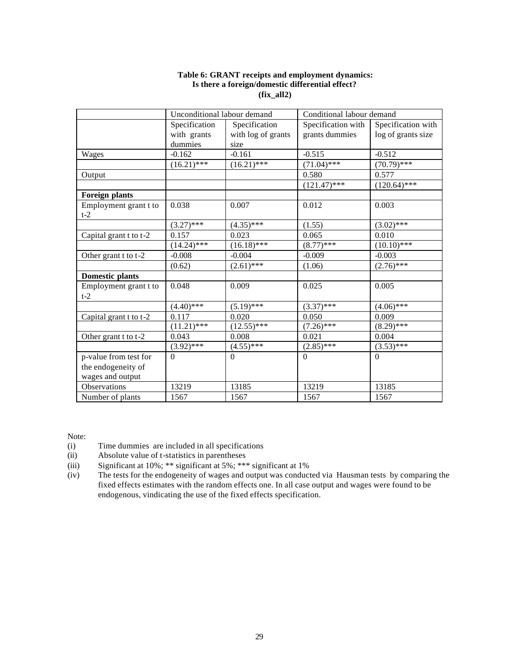#### **Table 6: GRANT receipts and employment dynamics: Is there a foreign/domestic differential effect? (fix\_all2)**

|                                | Unconditional labour demand |                    | Conditional labour demand |                    |
|--------------------------------|-----------------------------|--------------------|---------------------------|--------------------|
|                                | Specification               | Specification      | Specification with        | Specification with |
|                                | with grants                 | with log of grants | grants dummies            | log of grants size |
|                                | dummies                     | size               |                           |                    |
| Wages                          | $-0.162$                    | $-0.161$           | $-0.515$                  | $-0.512$           |
|                                | $(16.21)$ ***               | $(16.21)$ ***      | $(71.04)$ ***             | $(70.79)$ ***      |
| Output                         |                             |                    | 0.580                     | 0.577              |
|                                |                             |                    | $(121.47)$ ***            | $(120.64)$ ***     |
| <b>Foreign plants</b>          |                             |                    |                           |                    |
| Employment grant t to<br>$t-2$ | 0.038                       | 0.007              | 0.012                     | 0.003              |
|                                | $(3.27)$ ***                | $(4.35)$ ***       | (1.55)                    | $(3.02)$ ***       |
| Capital grant t to t-2         | 0.157                       | 0.023              | 0.065                     | 0.010              |
|                                | $(14.24)$ ***               | $(16.18)$ ***      | $(8.77)$ ***              | $(10.10)*$ ***     |
| Other grant t to t-2           | $-0.008$                    | $-0.004$           | $-0.009$                  | $-0.003$           |
|                                | (0.62)                      | $(2.61)$ ***       | (1.06)                    | $(2.76)$ ***       |
| <b>Domestic plants</b>         |                             |                    |                           |                    |
| Employment grant t to<br>$t-2$ | 0.048                       | 0.009              | 0.025                     | 0.005              |
|                                | $(4.40)$ ***                | $(5.19)$ ***       | $(3.37)$ ***              | $(4.06)$ ***       |
| Capital grant t to t-2         | 0.117                       | 0.020              | 0.050                     | 0.009              |
|                                | $(11.21)$ ***               | $(12.55)$ ***      | $(7.26)$ ***              | $(8.29)$ ***       |
| Other grant t to t-2           | 0.043                       | 0.008              | 0.021                     | 0.004              |
|                                | $(3.92)$ ***                | $(4.55)$ ***       | $(2.85)$ ***              | $(3.53)$ ***       |
| p-value from test for          | $\Omega$                    | $\Omega$           | $\Omega$                  | $\Omega$           |
| the endogeneity of             |                             |                    |                           |                    |
| wages and output               |                             |                    |                           |                    |
| Observations                   | 13219                       | 13185              | 13219                     | 13185              |
| Number of plants               | 1567                        | 1567               | 1567                      | 1567               |

Note:

(i) Time dummies are included in all specifications

(ii) Absolute value of t-statistics in parentheses

(iii) Significant at 10%; \*\* significant at 5%; \*\*\* significant at 1%

(iv) The tests for the endogeneity of wages and output was conducted via Hausman tests by comparing the fixed effects estimates with the random effects one. In all case output and wages were found to be endogenous, vindicating the use of the fixed effects specification.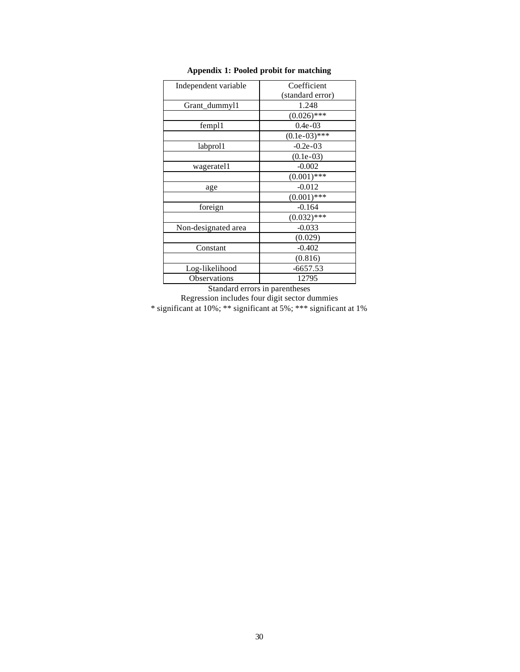| Independent variable | Coefficient      |
|----------------------|------------------|
|                      | (standard error) |
| Grant_dummyl1        | 1.248            |
|                      | $(0.026)$ ***    |
| fempl1               | $0.4e-03$        |
|                      | $(0.1e-03)$ ***  |
| labprol1             | $-0.2e-03$       |
|                      | $(0.1e-03)$      |
| wageratel1           | $-0.002$         |
|                      | $(0.001)$ ***    |
| age                  | $-0.012$         |
|                      | $(0.001)$ ***    |
| foreign              | $-0.164$         |
|                      | $(0.032)$ ***    |
| Non-designated area  | $-0.033$         |
|                      | (0.029)          |
| Constant             | $-0.402$         |
|                      | (0.816)          |
| Log-likelihood       | $-6657.53$       |
| Observations         | 12795            |

#### **Appendix 1: Pooled probit for matching**

Standard errors in parentheses Regression includes four digit sector dummies \* significant at 10%; \*\* significant at 5%; \*\*\* significant at 1%